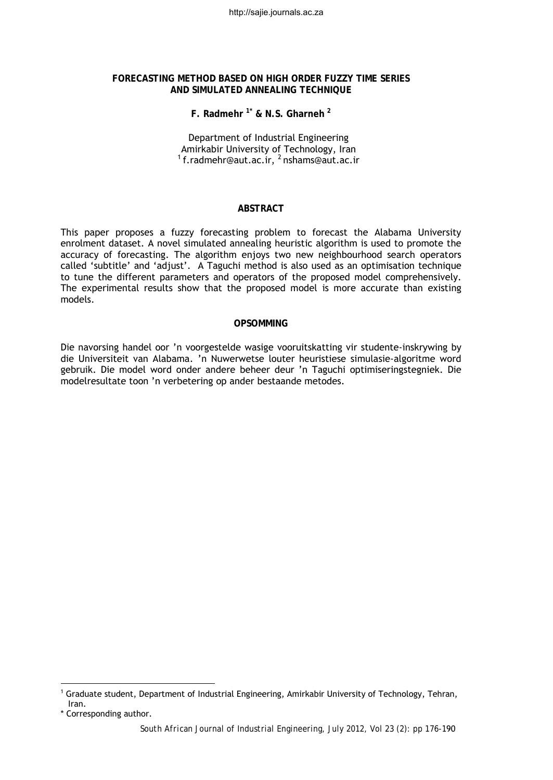http://sajie.journals.ac.za

### **FORECASTING METHOD BASED ON HIGH ORDER FUZZY TIME SERIES AND SIMULATED ANNEALING TECHNIQUE**

# **F. Radmehr [1](#page-0-0)\* & N.S. Gharneh [2](#page-0-1)**

Department of Industrial Engineering<br>Amirkabir University of Technology, Iran <sup>1</sup> [f.radmehr@aut.ac.ir,](mailto:f.radmehr@aut.ac.ir) <sup>2</sup> nshams@aut.ac.ir

### **ABSTRACT**

This paper proposes a fuzzy forecasting problem to forecast the Alabama University enrolment dataset. A novel simulated annealing heuristic algorithm is used to promote the accuracy of forecasting. The algorithm enjoys two new neighbourhood search operators called 'subtitle' and 'adjust'. A Taguchi method is also used as an optimisation technique to tune the different parameters and operators of the proposed model comprehensively. The experimental results show that the proposed model is more accurate than existing models.

# **OPSOMMING**

Die navorsing handel oor 'n voorgestelde wasige vooruitskatting vir studente-inskrywing by die Universiteit van Alabama. 'n Nuwerwetse louter heuristiese simulasie-algoritme word gebruik. Die model word onder andere beheer deur 'n Taguchi optimiseringstegniek. Die modelresultate toon 'n verbetering op ander bestaande metodes.

l

<span id="page-0-0"></span><sup>1</sup> Graduate student, Department of Industrial Engineering, Amirkabir University of Technology, Tehran, Iran.

<span id="page-0-1"></span><sup>\*</sup> Corresponding author.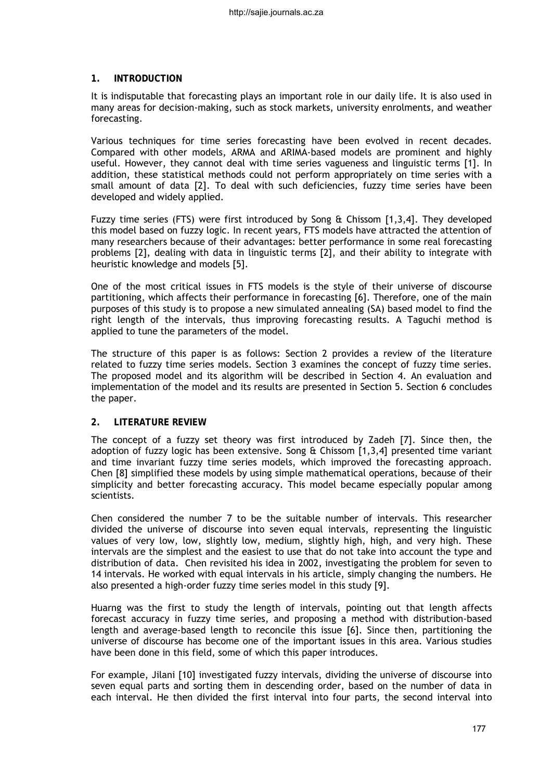# **1. INTRODUCTION**

It is indisputable that forecasting plays an important role in our daily life. It is also used in many areas for decision-making, such as stock markets, university enrolments, and weather forecasting.

Various techniques for time series forecasting have been evolved in recent decades. Compared with other models, ARMA and ARIMA-based models are prominent and highly useful. However, they cannot deal with time series vagueness and linguistic terms [1]. In addition, these statistical methods could not perform appropriately on time series with a small amount of data [2]. To deal with such deficiencies, fuzzy time series have been developed and widely applied.

Fuzzy time series (FTS) were first introduced by Song & Chissom [1,3,4]. They developed this model based on fuzzy logic. In recent years, FTS models have attracted the attention of many researchers because of their advantages: better performance in some real forecasting problems [2], dealing with data in linguistic terms [2], and their ability to integrate with heuristic knowledge and models [5].

One of the most critical issues in FTS models is the style of their universe of discourse partitioning, which affects their performance in forecasting [6]. Therefore, one of the main purposes of this study is to propose a new simulated annealing (SA) based model to find the right length of the intervals, thus improving forecasting results. A Taguchi method is applied to tune the parameters of the model.

The structure of this paper is as follows: Section 2 provides a review of the literature related to fuzzy time series models. Section 3 examines the concept of fuzzy time series. The proposed model and its algorithm will be described in Section 4. An evaluation and implementation of the model and its results are presented in Section 5. Section 6 concludes the paper.

## **2. LITERATURE REVIEW**

The concept of a fuzzy set theory was first introduced by Zadeh [7]. Since then, the adoption of fuzzy logic has been extensive. Song & Chissom [1,3,4] presented time variant and time invariant fuzzy time series models, which improved the forecasting approach. Chen [8] simplified these models by using simple mathematical operations, because of their simplicity and better forecasting accuracy. This model became especially popular among scientists.

Chen considered the number 7 to be the suitable number of intervals. This researcher divided the universe of discourse into seven equal intervals, representing the linguistic values of very low, low, slightly low, medium, slightly high, high, and very high. These intervals are the simplest and the easiest to use that do not take into account the type and distribution of data. Chen revisited his idea in 2002, investigating the problem for seven to 14 intervals. He worked with equal intervals in his article, simply changing the numbers. He also presented a high-order fuzzy time series model in this study [9].

Huarng was the first to study the length of intervals, pointing out that length affects forecast accuracy in fuzzy time series, and proposing a method with distribution-based length and average-based length to reconcile this issue [6]. Since then, partitioning the universe of discourse has become one of the important issues in this area. Various studies have been done in this field, some of which this paper introduces.

For example, Jilani [10] investigated fuzzy intervals, dividing the universe of discourse into seven equal parts and sorting them in descending order, based on the number of data in each interval. He then divided the first interval into four parts, the second interval into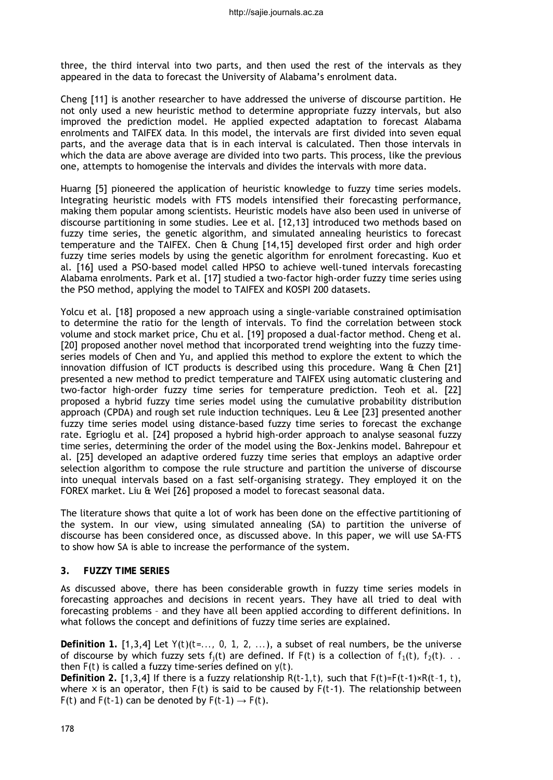three, the third interval into two parts, and then used the rest of the intervals as they appeared in the data to forecast the University of Alabama's enrolment data.

Cheng [11] is another researcher to have addressed the universe of discourse partition. He not only used a new heuristic method to determine appropriate fuzzy intervals, but also improved the prediction model. He applied expected adaptation to forecast Alabama enrolments and TAIFEX data. In this model, the intervals are first divided into seven equal parts, and the average data that is in each interval is calculated. Then those intervals in which the data are above average are divided into two parts. This process, like the previous one, attempts to homogenise the intervals and divides the intervals with more data.

Huarng [5] pioneered the application of heuristic knowledge to fuzzy time series models. Integrating heuristic models with FTS models intensified their forecasting performance, making them popular among scientists. Heuristic models have also been used in universe of discourse partitioning in some studies. Lee et al. [12,13] introduced two methods based on fuzzy time series, the genetic algorithm, and simulated annealing heuristics to forecast temperature and the TAIFEX. Chen & Chung [14,15] developed first order and high order fuzzy time series models by using the genetic algorithm for enrolment forecasting. Kuo et al. [16] used a PSO-based model called HPSO to achieve well-tuned intervals forecasting Alabama enrolments. Park et al. [17] studied a two-factor high-order fuzzy time series using the PSO method, applying the model to TAIFEX and KOSPI 200 datasets.

Yolcu et al. [18] proposed a new approach using a single-variable constrained optimisation to determine the ratio for the length of intervals. To find the correlation between stock volume and stock market price, Chu et al. [19] proposed a dual-factor method. Cheng et al. [20] proposed another novel method that incorporated trend weighting into the fuzzy timeseries models of Chen and Yu, and applied this method to explore the extent to which the innovation diffusion of ICT products is described using this procedure. Wang & Chen [21] presented a new method to predict temperature and TAIFEX using automatic clustering and two-factor high-order fuzzy time series for temperature prediction. Teoh et al. [22] proposed a hybrid fuzzy time series model using the cumulative probability distribution approach (CPDA) and rough set rule induction techniques. Leu & Lee [23] presented another fuzzy time series model using distance-based fuzzy time series to forecast the exchange rate. Egrioglu et al. [24] proposed a hybrid high-order approach to analyse seasonal fuzzy time series, determining the order of the model using the Box-Jenkins model. Bahrepour et al. [25] developed an adaptive ordered fuzzy time series that employs an adaptive order selection algorithm to compose the rule structure and partition the universe of discourse into unequal intervals based on a fast self-organising strategy. They employed it on the FOREX market. Liu & Wei [26] proposed a model to forecast seasonal data.

The literature shows that quite a lot of work has been done on the effective partitioning of the system. In our view, using simulated annealing (SA) to partition the universe of discourse has been considered once, as discussed above. In this paper, we will use SA-FTS to show how SA is able to increase the performance of the system.

## **3. FUZZY TIME SERIES**

As discussed above, there has been considerable growth in fuzzy time series models in forecasting approaches and decisions in recent years. They have all tried to deal with forecasting problems – and they have all been applied according to different definitions. In what follows the concept and definitions of fuzzy time series are explained.

**Definition 1.** [1,3,4] Let *Y*(*t*)(*t*=*..., 0, 1, 2, ...*), a subset of real numbers, be the universe of discourse by which fuzzy sets  $f_1(t)$  are defined. If  $F(t)$  is a collection of  $f_1(t)$ ,  $f_2(t)$ , ... then *F*(*t*) is called a fuzzy time-series defined on *y(t*)*.* 

**Definition** 2. [1,3,4] If there is a fuzzy relationship  $R(t-1,t)$ , such that  $F(t)=F(t-1)\times R(t-1,t)$ , where  $\times$  is an operator, then  $F(t)$  is said to be caused by  $F(t-1)$ . The relationship between *F*(*t*) and *F*(*t*-*1*) can be denoted by *F*(*t*-*1*)  $\rightarrow$  *F*(*t*).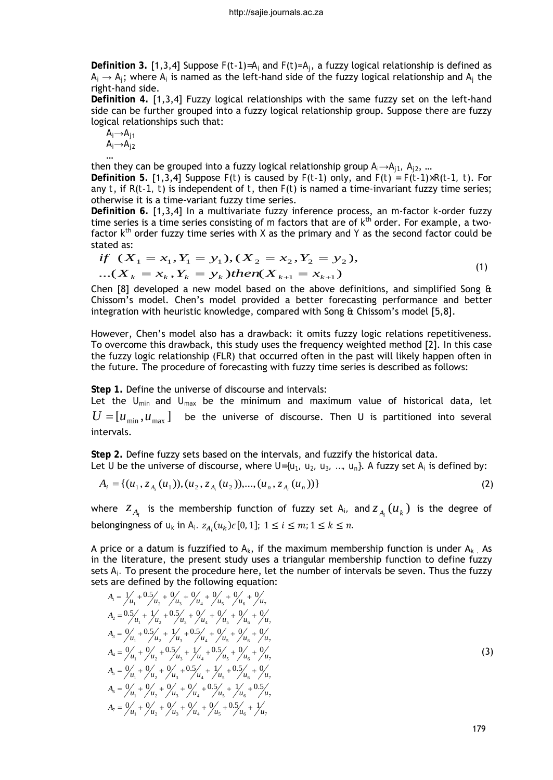**Definition 3.** [1,3,4] Suppose *F*(*t-1*)*=Ai* and *F*(*t*)=*Aj*, a fuzzy logical relationship is defined as  $A_i \rightarrow A_i$ ; where  $A_i$  is named as the left-hand side of the fuzzy logical relationship and  $A_i$  the right-hand side.

**Definition 4.** [1,3,4] Fuzzy logical relationships with the same fuzzy set on the left-hand side can be further grouped into a fuzzy logical relationship group. Suppose there are fuzzy logical relationships such that:

$$
\begin{array}{c}\nA_i \rightarrow A_{j1} \\
A_i \rightarrow A_{j2}\n\end{array}
$$

… then they can be grouped into a fuzzy logical relationship group *Ai→Aj1, Aj2*, … **Definition** 5. [1,3,4] Suppose  $F(t)$  is caused by  $F(t-1)$  only, and  $F(t) = F(t-1) \times R(t-1, t)$ . For any *t*, if *R*(*t-1, t*) is independent of *t*, then *F*(*t*) is named a time-invariant fuzzy time series; otherwise it is a time-variant fuzzy time series.

**Definition 6.** [1,3,4] In a multivariate fuzzy inference process, an *m*-factor *k*-order fuzzy time series is a time series consisting of *m* factors that are of *k*th order. For example, a twofactor *k*th order fuzzy time series with *X* as the primary and *Y* as the second factor could be stated as:

$$
if (X1 = x1, Y1 = y1), (X2 = x2, Y2 = y2),...(Xk = xk, Yk = yk) then (Xk+1 = xk+1)
$$
\n(1)

Chen [8] developed a new model based on the above definitions, and simplified Song  $\theta$ Chissom's model. Chen's model provided a better forecasting performance and better integration with heuristic knowledge, compared with Song & Chissom's model [5,8].

However, Chen's model also has a drawback: it omits fuzzy logic relations repetitiveness. To overcome this drawback, this study uses the frequency weighted method [2]. In this case the fuzzy logic relationship (FLR) that occurred often in the past will likely happen often in the future. The procedure of forecasting with fuzzy time series is described as follows:

**Step 1.** Define the universe of discourse and intervals:

Let the  $U_{min}$  and  $U_{max}$  be the minimum and maximum value of historical data, let  $U = [u_{\text{min}}, u_{\text{max}}]$  be the universe of discourse. Then U is partitioned into several intervals.

**Step 2.** Define fuzzy sets based on the intervals, and fuzzify the historical data. Let *U* be the universe of discourse, where  $U=\{u_1, u_2, u_3, ..., u_n\}$ . A fuzzy set  $A_i$  is defined by:

$$
A_i = \{ (u_1, z_{A_i}(u_1)), (u_2, z_{A_i}(u_2)), ..., (u_n, z_{A_i}(u_n)) \}
$$
\n(2)

where  $Z_{A_i}$  is the membership function of fuzzy set  $A_i$ , and  $Z_{A_i}(u_k)$  is the degree of belongingness of  $u_k$  in  $A_i$ .  $z_{A_i}(u_k) \in [0, 1]$ ;  $1 \le i \le m$ ;  $1 \le k \le n$ .

A price or a datum is fuzzified to  $A_k$ , if the maximum membership function is under  $A_k$ . As in the literature, the present study uses a triangular membership function to define fuzzy sets *Ai.* To present the procedure here, let the number of intervals be seven. Thus the fuzzy sets are defined by the following equation:

$$
A_{1} = \frac{1}{\mu_{1}} + \frac{0.5}{\mu_{2}} + \frac{9}{\mu_{3}} + \frac{9}{\mu_{4}} + \frac{9}{\mu_{5}} + \frac{9}{\mu_{6}} + \frac{9}{\mu_{7}}
$$
  
\n
$$
A_{2} = \frac{0.5}{\mu_{1}} + \frac{1}{\mu_{2}} + \frac{0.5}{\mu_{3}} + \frac{9}{\mu_{4}} + \frac{9}{\mu_{5}} + \frac{9}{\mu_{6}} + \frac{9}{\mu_{7}}
$$
  
\n
$$
A_{3} = \frac{9}{\mu_{1}} + \frac{0.5}{\mu_{2}} + \frac{1}{\mu_{3}} + \frac{0.5}{\mu_{4}} + \frac{9}{\mu_{5}} + \frac{9}{\mu_{6}} + \frac{9}{\mu_{7}}
$$
  
\n
$$
A_{4} = \frac{9}{\mu_{1}} + \frac{9}{\mu_{2}} + \frac{0.5}{\mu_{3}} + \frac{1}{\mu_{4}} + \frac{0.5}{\mu_{5}} + \frac{9}{\mu_{6}} + \frac{9}{\mu_{7}}
$$
  
\n
$$
A_{5} = \frac{9}{\mu_{1}} + \frac{9}{\mu_{2}} + \frac{9}{\mu_{3}} + \frac{0.5}{\mu_{4}} + \frac{1}{\mu_{5}} + \frac{0.5}{\mu_{6}} + \frac{9}{\mu_{7}}
$$
  
\n
$$
A_{6} = \frac{9}{\mu_{1}} + \frac{9}{\mu_{2}} + \frac{9}{\mu_{3}} + \frac{9}{\mu_{4}} + \frac{0.5}{\mu_{5}} + \frac{1}{\mu_{6}} + \frac{0.5}{\mu_{7}}
$$
  
\n
$$
A_{7} = \frac{9}{\mu_{1}} + \frac{9}{\mu_{2}} + \frac{9}{\mu_{3}} + \frac{9}{\mu_{4}} + \frac{9}{\mu_{5}} + \frac{1}{\mu_{6}} + \frac{1}{\mu_{6}}
$$

179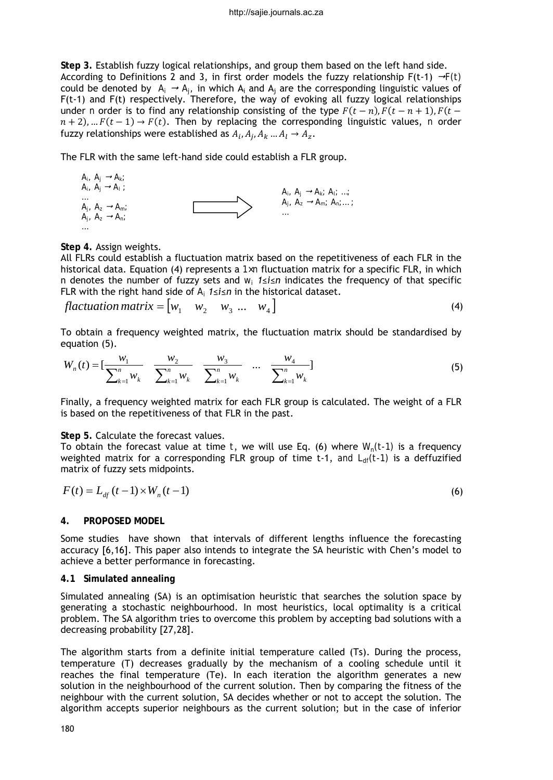**Step 3.** Establish fuzzy logical relationships, and group them based on the left hand side. According to Definitions 2 and 3, in first order models the fuzzy relationship  $F(t-1) \rightarrow F(t)$ could be denoted by  $A_i \rightarrow A_j$ , in which  $A_i$  and  $A_j$  are the corresponding linguistic values of F(t-1) and F(t) respectively. Therefore, the way of evoking all fuzzy logical relationships under *n* order is to find any relationship consisting of the type  $F(t - n)$ ,  $F(t - n + 1)$ ,  $F(t - n)$  $n + 2$ ), ...  $F(t - 1) \rightarrow F(t)$ . Then by replacing the corresponding linguistic values, *n* order fuzzy relationships were established as  $A_i$ ,  $A_i$ ,  $A_k$ , ...  $A_l \rightarrow A_z$ .

The FLR with the same left-hand side could establish a FLR group.



**Step 4.** Assign weights.

All FLRs could establish a fluctuation matrix based on the repetitiveness of each FLR in the historical data. Equation (4) represents a *1×n* fluctuation matrix for a specific FLR, in which n denotes the number of fuzzy sets and *wi 1≤i≤n* indicates the frequency of that specific FLR with the right hand side of *Ai 1≤i≤n* in the historical dataset.

$$
flactuation matrix = \begin{bmatrix} w_1 & w_2 & w_3 & \dots & w_4 \end{bmatrix}
$$
 (4)

To obtain a frequency weighted matrix, the fluctuation matrix should be standardised by equation (5).

$$
W_n(t) = \left[\frac{w_1}{\sum_{k=1}^n w_k} \quad \frac{w_2}{\sum_{k=1}^n w_k} \quad \frac{w_3}{\sum_{k=1}^n w_k} \quad \dots \quad \frac{w_4}{\sum_{k=1}^n w_k}\right]
$$
(5)

Finally, a frequency weighted matrix for each FLR group is calculated. The weight of a FLR is based on the repetitiveness of that FLR in the past.

### **Step 5.** Calculate the forecast values.

To obtain the forecast value at time *t*, we will use Eq. (6) where  $W_n(t-1)$  is a frequency weighted matrix for a corresponding FLR group of time t-1, and  $L_{df}(t-1)$  is a deffuzified matrix of fuzzy sets midpoints.

$$
F(t) = L_{df}(t-1) \times W_n(t-1)
$$
\n(6)

# **4. PROPOSED MODEL**

Some studies have shown that intervals of different lengths influence the forecasting accuracy [6,16]. This paper also intends to integrate the SA heuristic with Chen's model to achieve a better performance in forecasting.

#### **4.1 Simulated annealing**

Simulated annealing (SA) is an optimisation heuristic that searches the solution space by generating a stochastic neighbourhood. In most heuristics, local optimality is a critical problem. The SA algorithm tries to overcome this problem by accepting bad solutions with a decreasing probability [27,28].

The algorithm starts from a definite initial temperature called (Ts). During the process, temperature (T) decreases gradually by the mechanism of a cooling schedule until it reaches the final temperature (Te). In each iteration the algorithm generates a new solution in the neighbourhood of the current solution. Then by comparing the fitness of the neighbour with the current solution, SA decides whether or not to accept the solution. The algorithm accepts superior neighbours as the current solution; but in the case of inferior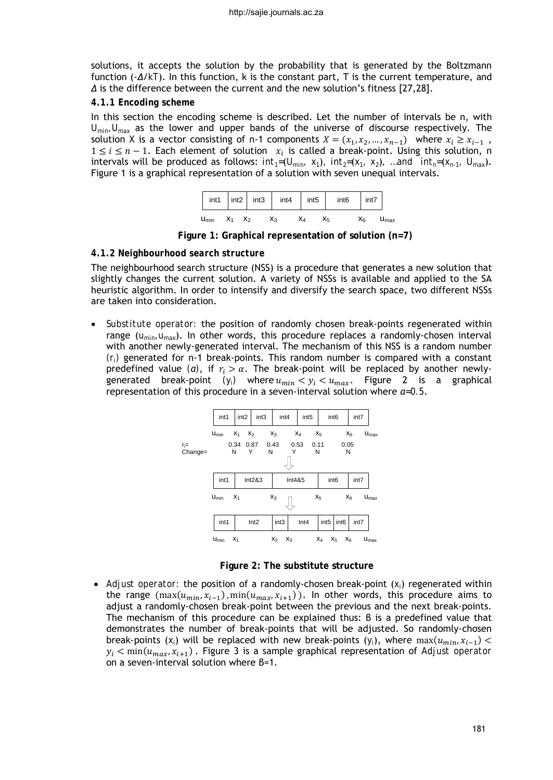solutions, it accepts the solution by the probability that is generated by the Boltzmann function (-*∆*/*kT*). In this function, k is the constant part, T is the current temperature, and *∆* is the difference between the current and the new solution's fitness [27,28].

# *4.1.1 Encoding scheme*

In this section the encoding scheme is described. Let the number of intervals be n, with *U<sub>min</sub>*, U<sub>max</sub> as the lower and upper bands of the universe of discourse respectively. The solution X is a vector consisting of n-1 components  $X = (x_1, x_2, ..., x_{n-1})$  where  $x_i \ge x_{i-1}$ ,  $1 \le i \le n-1$ . Each element of solution  $x_i$  is called a break-point. Using this solution, n intervals will be produced as follows:  $int_1=(U_{min}, x_1)$ *, int<sub>2</sub>*=( $x_1$ ,  $x_2$ ), *…and int<sub>n</sub>*=( $x_{n-1}$ ,  $U_{max}$ ). Figure 1 is a graphical representation of a solution with seven unequal intervals.



**Figure 1: Graphical representation of solution (n=7)**

# *4.1.2 Neighbourhood search structure*

The neighbourhood search structure (NSS) is a procedure that generates a new solution that slightly changes the current solution. A variety of NSSs is available and applied to the SA heuristic algorithm. In order to intensify and diversify the search space, two different NSSs are taken into consideration.

• *Substitute operator:* the position of randomly chosen break-points regenerated within range  $(u_{min}, u_{max})$ . In other words, this procedure replaces a randomly-chosen interval with another newly-generated interval. The mechanism of this NSS is a random number  $(r<sub>i</sub>)$  generated for n-1 break-points. This random number is compared with a constant predefined value (*a*), if  $r_i > \alpha$ . The break-point will be replaced by another newlygenerated break-point  $(y_i)$  where  $u_{min} < y_i < u_{max}$ . Figure 2 is a graphical representation of this procedure in a seven-interval solution where *α=0.5*.





• *Adjust operator:* the position of a randomly-chosen break-point (*xi*) regenerated within the range  $(\max(u_{min}, x_{i-1}), \min(u_{max}, x_{i+1}))$ . In other words, this procedure aims to adjust a randomly-chosen break-point between the previous and the next break-points. The mechanism of this procedure can be explained thus: β is a predefined value that demonstrates the number of break-points that will be adjusted. So randomly-chosen break-points  $(x_i)$  will be replaced with new break-points  $(y_i)$ , where  $\max(u_{\min}, x_{i-1})$  <  $y_i < min(u_{max}, x_{i+1})$ . Figure 3 is a sample graphical representation of *Adjust operator* on a seven-interval solution where β=1.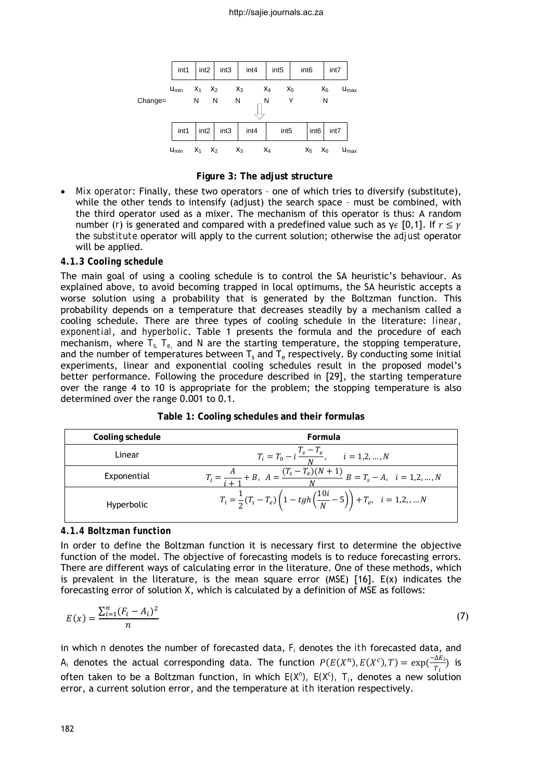

**Figure 3: The adjust structure**

• *Mix operator*: Finally, these two operators – one of which tries to diversify (substitute), while the other tends to intensify (adjust) the search space – must be combined, with the third operator used as a mixer. The mechanism of this operator is thus: A random number (*r*) is generated and compared with a predefined value such as  $\gamma \epsilon$  [0,1]. If  $r \leq \gamma$ the *substitute* operator will apply to the current solution; otherwise the *adjust* operator will be applied.

### *4.1.3 Cooling schedule*

The main goal of using a cooling schedule is to control the SA heuristic's behaviour. As explained above, to avoid becoming trapped in local optimums, the SA heuristic accepts a worse solution using a probability that is generated by the Boltzman function. This probability depends on a temperature that decreases steadily by a mechanism called a cooling schedule. There are three types of cooling schedule in the literature: *linear*, *exponential*, and *hyperbolic*. Table 1 presents the formula and the procedure of each mechanism, where *Ts, Te,* and *N* are the starting temperature, the stopping temperature, and the number of temperatures between  $T_s$  and  $T_e$  respectively. By conducting some initial experiments, linear and exponential cooling schedules result in the proposed model's better performance. Following the procedure described in [29], the starting temperature over the range 4 to 10 is appropriate for the problem; the stopping temperature is also determined over the range 0.001 to 0.1.

| Cooling schedule | Formula                                                                                                         |
|------------------|-----------------------------------------------------------------------------------------------------------------|
| Linear           | $T_i = T_0 - i \frac{T_s - T_e}{N}$ , $i = 1, 2, , N$                                                           |
| Exponential      | $T_i = \frac{A}{i+1} + B$ , $A = \frac{(T_s - T_e)(N+1)}{N}$ $B = T_s - A$ , $i = 1, 2, , N$                    |
| Hyperbolic       | $T_i = \frac{1}{2}(T_s - T_e)\left(1 - tgh\left(\frac{10i}{N} - 5\right)\right) + T_e, \quad i = 1, 2, \dots N$ |

**Table 1: Cooling schedules and their formulas**

### *4.1.4 Boltzman function*

In order to define the Boltzman function it is necessary first to determine the objective function of the model. The objective of forecasting models is to reduce forecasting errors. There are different ways of calculating error in the literature. One of these methods, which is prevalent in the literature, is the mean square error  $(MSE)$  [16]. E(x) indicates the forecasting error of solution X, which is calculated by a definition of MSE as follows:

$$
E(x) = \frac{\sum_{i=1}^{n} (F_i - A_i)^2}{n}
$$
 (7)

in which *n* denotes the number of forecasted data, *Fi* denotes the *ith* forecasted data, and  $A_i$  denotes the actual corresponding data. The function  $P(E(X^n), E(X^c), T) = \exp(\frac{-\Delta E_i}{T_c})$  $\frac{dE_i}{T_i}$ ) is often taken to be a Boltzman function, in which *E(X<sup>n</sup> ), E(X<sup>c</sup> ), Ti*, denotes a new solution error, a current solution error, and the temperature at *ith* iteration respectively.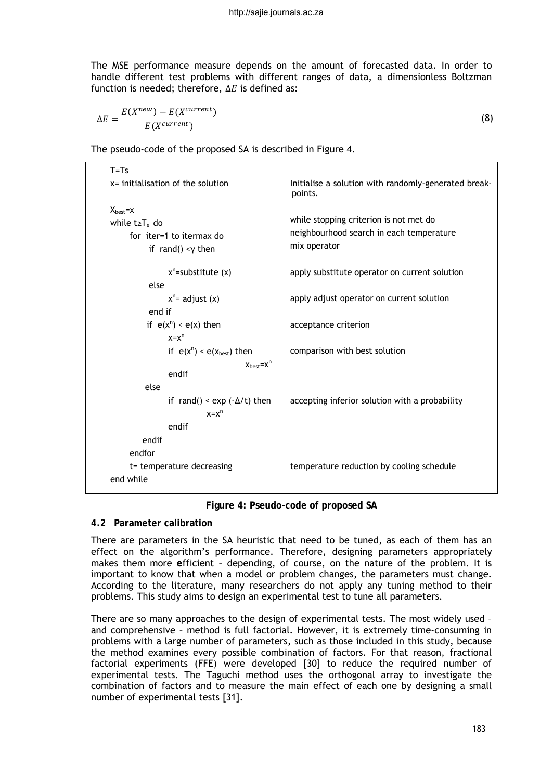The MSE performance measure depends on the amount of forecasted data. In order to handle different test problems with different ranges of data, a dimensionless Boltzman function is needed; therefore,  $\Delta E$  is defined as:

$$
\Delta E = \frac{E(X^{new}) - E(X^{current})}{E(X^{current})}
$$
\n(8)

The pseudo-code of the proposed SA is described in Figure 4.

| $T = Ts$                                |                                                                 |  |  |  |
|-----------------------------------------|-----------------------------------------------------------------|--|--|--|
| $x =$ initialisation of the solution    | Initialise a solution with randomly-generated break-<br>points. |  |  |  |
| $X_{\text{best}} = X$                   |                                                                 |  |  |  |
| while $t \geq T_e$ do                   | while stopping criterion is not met do                          |  |  |  |
| for iter=1 to itermax do                | neighbourhood search in each temperature                        |  |  |  |
| if rand() $\langle \gamma \rangle$ then | mix operator                                                    |  |  |  |
| $x^n$ =substitute (x)                   | apply substitute operator on current solution                   |  |  |  |
| else                                    |                                                                 |  |  |  |
| $x^n$ adjust $(x)$                      | apply adjust operator on current solution                       |  |  |  |
| end if                                  |                                                                 |  |  |  |
| if $e(x^n) < e(x)$ then                 | acceptance criterion                                            |  |  |  |
| $x = x^n$                               |                                                                 |  |  |  |
| if $e(x^n) < e(x_{best})$ then          | comparison with best solution                                   |  |  |  |
| $X_{best} = X^{n}$                      |                                                                 |  |  |  |
| endif                                   |                                                                 |  |  |  |
| else                                    |                                                                 |  |  |  |
| if rand() < $exp(-\Delta/t)$ then       | accepting inferior solution with a probability                  |  |  |  |
| $x = x^n$                               |                                                                 |  |  |  |
| endif<br>endif                          |                                                                 |  |  |  |
| endfor                                  |                                                                 |  |  |  |
|                                         |                                                                 |  |  |  |
| t= temperature decreasing               | temperature reduction by cooling schedule                       |  |  |  |
| end while                               |                                                                 |  |  |  |

**Figure 4: Pseudo-code of proposed SA**

## **4.2 Parameter calibration**

There are parameters in the SA heuristic that need to be tuned, as each of them has an effect on the algorithm's performance. Therefore, designing parameters appropriately makes them more **e**fficient – depending, of course, on the nature of the problem. It is important to know that when a model or problem changes, the parameters must change. According to the literature, many researchers do not apply any tuning method to their problems. This study aims to design an experimental test to tune all parameters.

There are so many approaches to the design of experimental tests. The most widely used – and comprehensive – method is full factorial. However, it is extremely time-consuming in problems with a large number of parameters, such as those included in this study, because the method examines every possible combination of factors. For that reason, fractional factorial experiments (FFE) were developed [30] to reduce the required number of experimental tests. The Taguchi method uses the orthogonal array to investigate the combination of factors and to measure the main effect of each one by designing a small number of experimental tests [31].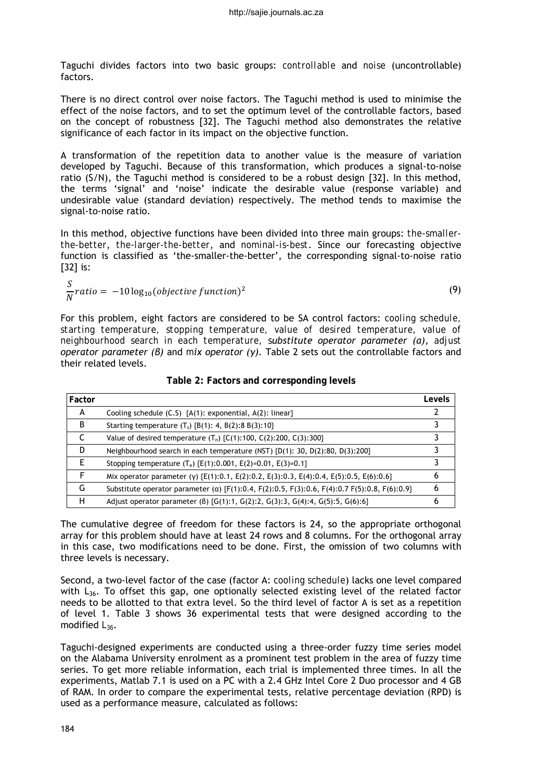Taguchi divides factors into two basic groups: *controllable* and *noise* (uncontrollable) factors.

There is no direct control over noise factors. The Taguchi method is used to minimise the effect of the noise factors, and to set the optimum level of the controllable factors, based on the concept of robustness [32]. The Taguchi method also demonstrates the relative significance of each factor in its impact on the objective function.

A transformation of the repetition data to another value is the measure of variation developed by Taguchi. Because of this transformation, which produces a signal-to-noise ratio (S/N), the Taguchi method is considered to be a robust design [32]. In this method, the terms 'signal' and 'noise' indicate the desirable value (response variable) and undesirable value (standard deviation) respectively. The method tends to maximise the signal-to-noise ratio.

In this method, objective functions have been divided into three main groups: *the*-*smallerthe-better*, *the*-*larger-the-better*, and *nominal-is-best*. Since our forecasting objective function is classified as 'the-smaller-the-better', the corresponding signal-to-noise ratio [32] is:

$$
\frac{S}{N} ratio = -10 \log_{10} (objective function)^2 \tag{9}
$$

For this problem, eight factors are considered to be SA control factors: *cooling schedule, starting temperature, stopping temperature, value of desired temperature, value of neighbourhood search in each temperature, substitute operator parameter (α), adjust operator parameter (β)* and *mix operator (γ).* Table 2 sets out the controllable factors and their related levels.

| Factor |                                                                                                        | Levels |
|--------|--------------------------------------------------------------------------------------------------------|--------|
| A      | Cooling schedule $(C.5)$ {A(1): exponential, A(2): linear}                                             |        |
| B      | Starting temperature $(T_s)$ {B(1): 4, B(2):8 B(3):10}                                                 |        |
|        | Value of desired temperature $(T_n)$ {C(1):100, C(2):200, C(3):300}                                    |        |
| D      | Neighbourhood search in each temperature (NST) ${D(1): 30, D(2):80, D(3):200}$                         |        |
| F      | Stopping temperature $(T_e)$ {E(1):0.001, E(2)=0.01, E(3)=0.1}                                         |        |
|        | Mix operator parameter (y) {E(1):0.1, E(2):0.2, E(3):0.3, E(4):0.4, E(5):0.5, E(6):0.6}                |        |
| G      | Substitute operator parameter ( $\alpha$ ) {F(1):0.4, F(2):0.5, F(3):0.6, F(4):0.7 F(5):0.8, F(6):0.9} | h      |
| н      | Adjust operator parameter (B) {G(1):1, G(2):2, G(3):3, G(4):4, G(5):5, G(6):6}                         |        |

**Table 2: Factors and corresponding levels**

The cumulative degree of freedom for these factors is 24, so the appropriate orthogonal array for this problem should have at least 24 rows and 8 columns. For the orthogonal array in this case, two modifications need to be done. First, the omission of two columns with three levels is necessary.

Second, a two-level factor of the case (factor A: *cooling schedule*) lacks one level compared with  $L_{36}$ . To offset this gap, one optionally selected existing level of the related factor needs to be allotted to that extra level. So the third level of factor A is set as a repetition of level 1. Table 3 shows 36 experimental tests that were designed according to the modified *L36*.

Taguchi-designed experiments are conducted using a three-order fuzzy time series model on the Alabama University enrolment as a prominent test problem in the area of fuzzy time series. To get more reliable information, each trial is implemented three times. In all the experiments, Matlab 7.1 is used on a PC with a 2.4 GHz Intel Core 2 Duo processor and 4 GB of RAM. In order to compare the experimental tests, relative percentage deviation (RPD) is used as a performance measure, calculated as follows: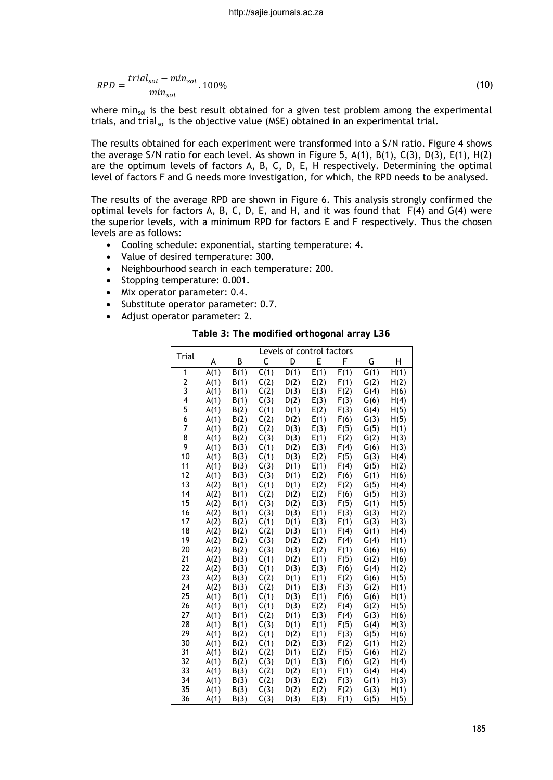$$
RPD = \frac{trial_{sol} - min_{sol}}{min_{sol}}.100\%
$$
\n(10)

where  $min_{sol}$  is the best result obtained for a given test problem among the experimental trials, and *trial<sub>sol</sub>* is the objective value (MSE) obtained in an experimental trial.

The results obtained for each experiment were transformed into a S/N ratio. Figure 4 shows the average S/N ratio for each level. As shown in Figure 5,  $A(1)$ ,  $B(1)$ ,  $C(3)$ ,  $D(3)$ ,  $E(1)$ ,  $H(2)$ are the optimum levels of factors A, B, C, D, E, H respectively. Determining the optimal level of factors F and G needs more investigation, for which, the RPD needs to be analysed.

The results of the average RPD are shown in Figure 6. This analysis strongly confirmed the optimal levels for factors A, B, C, D, E, and H, and it was found that  $F(4)$  and  $G(4)$  were the superior levels, with a minimum RPD for factors E and F respectively. Thus the chosen levels are as follows:

- Cooling schedule: exponential, starting temperature: 4.
- Value of desired temperature: 300.
- Neighbourhood search in each temperature: 200.
- Stopping temperature: 0.001.
- Mix operator parameter: 0.4.
- Substitute operator parameter: 0.7.
- Adjust operator parameter: 2.

**Table 3: The modified orthogonal array L36**

| Trial          |              |              |              | Levels of control factors |              |              |              |              |
|----------------|--------------|--------------|--------------|---------------------------|--------------|--------------|--------------|--------------|
|                | А            | B            | C            | D                         | E            | F            | G            | Н            |
| 1              | A(1)         | B(1)         | C(1)         | D(1)                      | E(1)         | F(1)         | G(1)         | H(1)         |
| $\overline{2}$ | A(1)         | B(1)         | C(2)         | D(2)                      | E(2)         | F(1)         | G(2)         | H(2)         |
| 3              | A(1)         | B(1)         | C(2)         | D(3)                      | E(3)         | F(2)         | G(4)         | H(6)         |
| 4              | A(1)         | B(1)         | C(3)         | D(2)                      | E(3)         | F(3)         | G(6)         | H(4)         |
| 5              | A(1)         | B(2)         | C(1)         | D(1)                      | E(2)         | F(3)         | G(4)         | H(5)         |
| 6              | A(1)         | B(2)         | C(2)         | D(2)                      | E(1)         | F(6)         | G(3)         | H(5)         |
| 7              | A(1)         | B(2)         | C(2)         | D(3)                      | E(3)         | F(5)         | G(5)         | H(1)         |
| 8              | A(1)         | B(2)         | C(3)         | D(3)                      | E(1)         | F(2)         | G(2)         | H(3)         |
| 9              | A(1)         | B(3)         | C(1)         | D(2)                      | E(3)         | F(4)         | G(6)         | H(3)         |
| 10             | A(1)         | B(3)         | C(1)         | D(3)                      | E(2)         | F(5)         | G(3)         | H(4)         |
| 11             | A(1)         | B(3)         | C(3)         | D(1)                      | E(1)         | F(4)         | G(5)         | H(2)         |
| 12             | A(1)         | B(3)         | C(3)         | D(1)                      | E(2)         | F(6)         | G(1)         | H(6)         |
| 13             | A(2)         | B(1)         | C(1)         | D(1)                      | E(2)         | F(2)         | G(5)         | H(4)         |
| 14             | A(2)         | B(1)         | C(2)         | D(2)                      | E(2)         | F(6)         | G(5)         | H(3)         |
| 15             | A(2)         | B(1)         | C(3)         | D(2)                      | E(3)         | F(5)         | G(1)         | H(5)         |
| 16             | A(2)         | B(1)         | C(3)         | D(3)                      | E(1)         | F(3)         | G(3)         | H(2)         |
| 17             | A(2)         | B(2)         | C(1)         | D(1)                      | E(3)         | F(1)         | G(3)         | H(3)         |
| 18             | A(2)         | B(2)         | C(2)         | D(3)                      | E(1)         | F(4)         | G(1)         | H(4)         |
| 19             | A(2)         | B(2)         | C(3)         | D(2)                      | E(2)         | F(4)         | G(4)         | H(1)         |
| 20             | A(2)         | B(2)         | C(3)         | D(3)                      | E(2)         | F(1)         | G(6)         | H(6)         |
| 21             | A(2)         | B(3)         | C(1)         | D(2)                      | E(1)         | F(5)         | G(2)         | H(6)         |
| 22             | A(2)         | B(3)         | C(1)         | D(3)                      | E(3)         | F(6)         | G(4)         | H(2)         |
| 23             | A(2)         | B(3)         | C(2)         | D(1)                      | E(1)         | F(2)         | G(6)         | H(5)         |
| 24             | A(2)         | B(3)         | C(2)         | D(1)                      | E(3)         | F(3)         | G(2)         | H(1)         |
| 25             | A(1)         | B(1)         | C(1)         | D(3)                      | E(1)         | F(6)         | G(6)         | H(1)         |
| 26<br>27       | A(1)         | B(1)         | C(1)         | D(3)                      | E(2)         | F(4)         | G(2)         | H(5)         |
|                | A(1)         | B(1)         | C(2)         | D(1)                      | E(3)         | F(4)         | G(3)         | H(6)         |
| 28<br>29       | A(1)         | B(1)         | C(3)         | D(1)                      | E(1)         | F(5)         | G(4)         | H(3)         |
| 30             | A(1)         | B(2)         | C(1)         | D(2)                      | E(1)         | F(3)         | G(5)         | H(6)         |
| 31             | A(1)         | B(2)         | C(1)         | D(2)                      | E(3)         | F(2)         | G(1)         | H(2)         |
| 32             | A(1)         | B(2)         | C(2)         | D(1)                      | E(2)         | F(5)         | G(6)         | H(2)         |
| 33             | A(1)         | B(2)         | C(3)         | D(1)                      | E(3)         | F(6)         | G(2)         | H(4)         |
| 34             | A(1)<br>A(1) | B(3)         | C(2)<br>C(2) | D(2)                      | E(1)         | F(1)         | G(4)<br>G(1) | H(4)         |
| 35             | A(1)         | B(3)<br>B(3) | C(3)         | D(3)<br>D(2)              | E(2)<br>E(2) | F(3)<br>F(2) | G(3)         | H(3)<br>H(1) |
| 36             |              |              |              |                           |              |              |              |              |
|                | A(1)         | B(3)         | C(3)         | D(3)                      | E(3)         | F(1)         | G(5)         | H(5)         |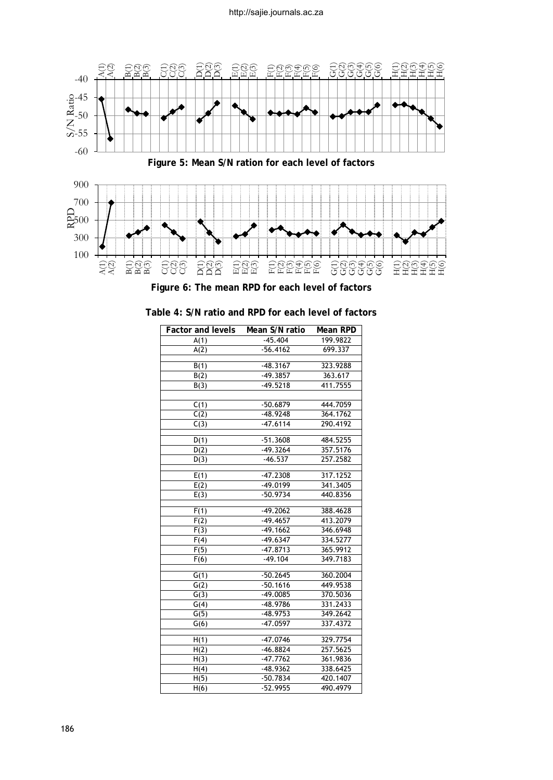



| <b>Factor and levels</b> | Mean S/N ratio | Mean RPD |
|--------------------------|----------------|----------|
| A(1)                     | $-45.404$      | 199.9822 |
| A(2)                     | $-56.4162$     | 699.337  |
|                          |                |          |
| B(1)                     | $-48.3167$     | 323.9288 |
| B(2)                     | $-49.3857$     | 363.617  |
| B(3)                     | $-49.5218$     | 411.7555 |
|                          |                |          |
| C(1)                     | $-50.6879$     | 444.7059 |
| C(2)                     | $-48.9248$     | 364.1762 |
| C(3)                     | $-47.6114$     | 290.4192 |
|                          | $-51.3608$     | 484.5255 |
| D(1)                     | $-49.3264$     | 357.5176 |
| D(2)                     |                | 257.2582 |
| D(3)                     | $-46.537$      |          |
| E(1)                     | $-47.2308$     | 317.1252 |
| E(2)                     | $-49.0199$     | 341.3405 |
| E(3)                     | $-50.9734$     | 440.8356 |
|                          |                |          |
| F(1)                     | $-49.2062$     | 388.4628 |
| F(2)                     | $-49.4657$     | 413.2079 |
| F(3)                     | $-49.1662$     | 346.6948 |
| F(4)                     | $-49.6347$     | 334.5277 |
| F(5)                     | $-47.8713$     | 365.9912 |
| F(6)                     | $-49.104$      | 349,7183 |
|                          |                |          |
| G(1)                     | $-50.2645$     | 360.2004 |
| G(2)                     | $-50.1616$     | 449.9538 |
| G(3)                     | $-49.0085$     | 370.5036 |
| G(4)                     | $-48.9786$     | 331.2433 |
| G(5)                     | $-48.9753$     | 349.2642 |
| G(6)                     | $-47.0597$     | 337.4372 |
|                          | $-47.0746$     | 329.7754 |
| H(1)                     |                | 257.5625 |
| H(2)                     | $-46.8824$     |          |
| H(3)                     | $-47.7762$     | 361.9836 |
| H(4)                     | $-48.9362$     | 338.6425 |
| H(5)                     | $-50.7834$     | 420.1407 |
| H(6)                     | $-52.9955$     | 490.4979 |

| Table 4: S/N ratio and RPD for each level of factors |  |  |  |
|------------------------------------------------------|--|--|--|
|------------------------------------------------------|--|--|--|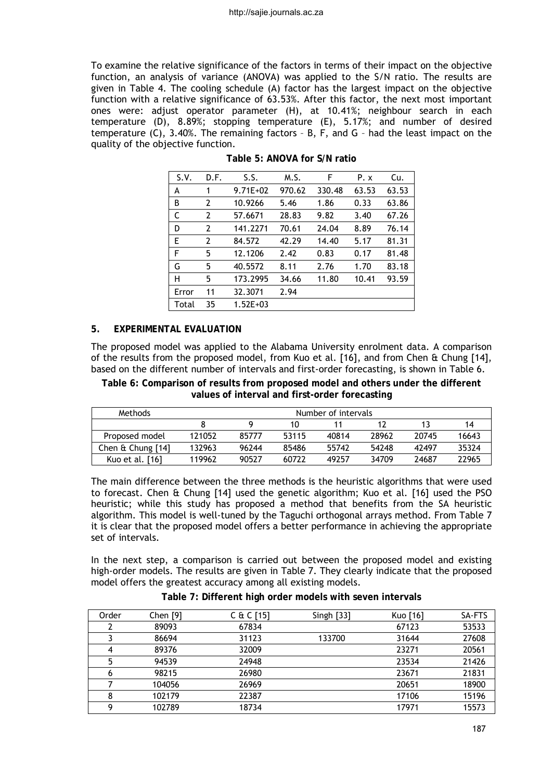To examine the relative significance of the factors in terms of their impact on the objective function, an analysis of variance (ANOVA) was applied to the S/N ratio. The results are given in Table 4. The cooling schedule (A) factor has the largest impact on the objective function with a relative significance of 63.53%. After this factor, the next most important ones were: adjust operator parameter (H), at 10.41%; neighbour search in each temperature (D), 8.89%; stopping temperature (E), 5.17%; and number of desired temperature (C), 3.40%. The remaining factors – B, F, and G – had the least impact on the quality of the objective function.

| S.V.  | D.F. | S.S.         | M.S.   | F      | P. x  | Cu.   |
|-------|------|--------------|--------|--------|-------|-------|
| A     | 1    | $9.71E + 02$ | 970.62 | 330.48 | 63.53 | 63.53 |
| B     | 2    | 10.9266      | 5.46   | 1.86   | 0.33  | 63.86 |
| C     | 2    | 57.6671      | 28.83  | 9.82   | 3.40  | 67.26 |
| D     | 2    | 141.2271     | 70.61  | 24.04  | 8.89  | 76.14 |
| Е     | 2    | 84.572       | 42.29  | 14.40  | 5.17  | 81.31 |
| F     | 5    | 12.1206      | 2.42   | 0.83   | 0.17  | 81.48 |
| G     | 5    | 40.5572      | 8.11   | 2.76   | 1.70  | 83.18 |
| н     | 5    | 173.2995     | 34.66  | 11.80  | 10.41 | 93.59 |
| Error | 11   | 32.3071      | 2.94   |        |       |       |
| Total | 35   | $1.52E + 03$ |        |        |       |       |

**Table 5: ANOVA for S/N ratio**

### **5. EXPERIMENTAL EVALUATION**

The proposed model was applied to the Alabama University enrolment data. A comparison of the results from the proposed model, from Kuo et al. [16], and from Chen & Chung [14], based on the different number of intervals and first-order forecasting, is shown in Table 6.

**Table 6: Comparison of results from proposed model and others under the different values of interval and first-order forecasting**

| Methods              | Number of intervals |       |       |       |       |       |       |
|----------------------|---------------------|-------|-------|-------|-------|-------|-------|
|                      |                     |       | 10    |       |       |       | 14    |
| Proposed model       | 121052              | 85777 | 53115 | 40814 | 28962 | 20745 | 16643 |
| Chen $\&$ Chung [14] | 132963              | 96244 | 85486 | 55742 | 54248 | 47497 | 35324 |
| Kuo et al. [16]      | 119962              | 90527 | 60722 | 49257 | 34709 | 24687 | 22965 |

The main difference between the three methods is the heuristic algorithms that were used to forecast. Chen & Chung [14] used the genetic algorithm; Kuo et al. [16] used the PSO heuristic; while this study has proposed a method that benefits from the SA heuristic algorithm. This model is well-tuned by the Taguchi orthogonal arrays method. From Table 7 it is clear that the proposed model offers a better performance in achieving the appropriate set of intervals.

In the next step, a comparison is carried out between the proposed model and existing high-order models. The results are given in Table 7. They clearly indicate that the proposed model offers the greatest accuracy among all existing models.

|  | Table 7: Different high order models with seven intervals |  |  |  |
|--|-----------------------------------------------------------|--|--|--|
|  |                                                           |  |  |  |

| Order | Chen $[9]$ | $C & C$ [15] | Singh $[33]$ | Kuo [16] | SA-FTS |
|-------|------------|--------------|--------------|----------|--------|
|       | 89093      | 67834        |              | 67123    | 53533  |
|       | 86694      | 31123        | 133700       | 31644    | 27608  |
|       | 89376      | 32009        |              | 23271    | 20561  |
|       | 94539      | 24948        |              | 23534    | 21426  |
| 6     | 98215      | 26980        |              | 23671    | 21831  |
|       | 104056     | 26969        |              | 20651    | 18900  |
| 8     | 102179     | 22387        |              | 17106    | 15196  |
| Q     | 102789     | 18734        |              | 17971    | 15573  |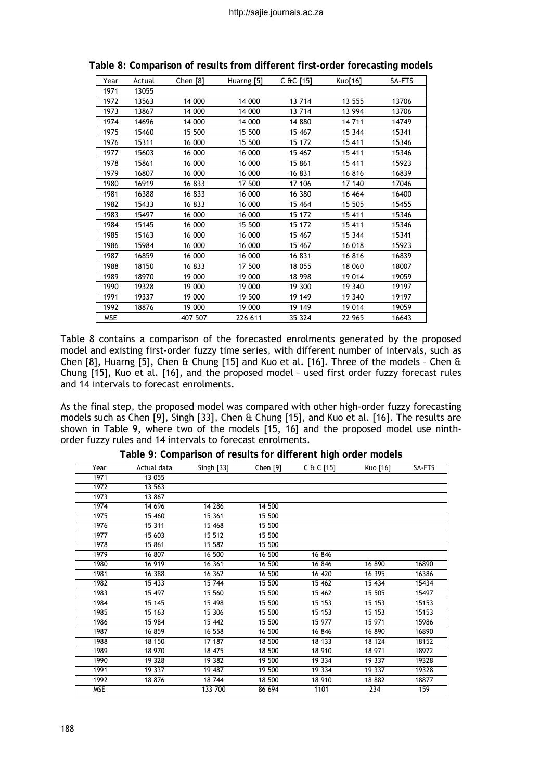| Year       | Actual | Chen $[8]$ | Huarng [5] | C &C [15] | Kuo[16] | SA-FTS |
|------------|--------|------------|------------|-----------|---------|--------|
| 1971       | 13055  |            |            |           |         |        |
| 1972       | 13563  | 14 000     | 14 000     | 13714     | 13 555  | 13706  |
| 1973       | 13867  | 14 000     | 14 000     | 13714     | 13 994  | 13706  |
| 1974       | 14696  | 14 000     | 14 000     | 14 880    | 14711   | 14749  |
| 1975       | 15460  | 15 500     | 15 500     | 15 467    | 15 344  | 15341  |
| 1976       | 15311  | 16 000     | 15 500     | 15 172    | 15 411  | 15346  |
| 1977       | 15603  | 16 000     | 16 000     | 15 4 67   | 15 411  | 15346  |
| 1978       | 15861  | 16 000     | 16 000     | 15 861    | 15 411  | 15923  |
| 1979       | 16807  | 16 000     | 16 000     | 16831     | 16816   | 16839  |
| 1980       | 16919  | 16833      | 17 500     | 17 106    | 17 140  | 17046  |
| 1981       | 16388  | 16833      | 16 000     | 16 380    | 16 4 64 | 16400  |
| 1982       | 15433  | 16833      | 16 000     | 15 4 64   | 15 505  | 15455  |
| 1983       | 15497  | 16 000     | 16 000     | 15 172    | 15 411  | 15346  |
| 1984       | 15145  | 16 000     | 15 500     | 15 172    | 15 411  | 15346  |
| 1985       | 15163  | 16 000     | 16 000     | 15 4 67   | 15 344  | 15341  |
| 1986       | 15984  | 16 000     | 16 000     | 15 467    | 16 018  | 15923  |
| 1987       | 16859  | 16 000     | 16 000     | 16831     | 16816   | 16839  |
| 1988       | 18150  | 16833      | 17 500     | 18 055    | 18 060  | 18007  |
| 1989       | 18970  | 19 000     | 19 000     | 18 998    | 19 014  | 19059  |
| 1990       | 19328  | 19 000     | 19 000     | 19 300    | 19 340  | 19197  |
| 1991       | 19337  | 19 000     | 19 500     | 19 149    | 19 340  | 19197  |
| 1992       | 18876  | 19 000     | 19 000     | 19 149    | 19 014  | 19059  |
| <b>MSE</b> |        | 407 507    | 226 611    | 35 324    | 22 965  | 16643  |

**Table 8: Comparison of results from different first-order forecasting models**

Table 8 contains a comparison of the forecasted enrolments generated by the proposed model and existing first-order fuzzy time series, with different number of intervals, such as Chen [8], Huarng [5], Chen & Chung [15] and Kuo et al. [16]. Three of the models – Chen & Chung [15], Kuo et al. [16], and the proposed model – used first order fuzzy forecast rules and 14 intervals to forecast enrolments.

As the final step, the proposed model was compared with other high-order fuzzy forecasting models such as Chen [9], Singh [33], Chen & Chung [15], and Kuo et al. [16]. The results are shown in Table 9, where two of the models [15, 16] and the proposed model use ninthorder fuzzy rules and 14 intervals to forecast enrolments.

| Year       | Actual data | Singh $[33]$ | Chen $[9]$ | $C & C$ [15] | Kuo [16] | SA-FTS |
|------------|-------------|--------------|------------|--------------|----------|--------|
| 1971       | 13 0 55     |              |            |              |          |        |
| 1972       | 13 563      |              |            |              |          |        |
| 1973       | 13 867      |              |            |              |          |        |
| 1974       | 14 6 9 6    | 14 28 6      | 14 500     |              |          |        |
| 1975       | 15 460      | 15 361       | 15 500     |              |          |        |
| 1976       | 15 311      | 15 4 68      | 15 500     |              |          |        |
| 1977       | 15 603      | 15 512       | 15 500     |              |          |        |
| 1978       | 15 861      | 15 582       | 15 500     |              |          |        |
| 1979       | 16 807      | 16 500       | 16 500     | 16 846       |          |        |
| 1980       | 16 919      | 16 361       | 16 500     | 16 846       | 16 890   | 16890  |
| 1981       | 16 388      | 16 362       | 16 500     | 16 420       | 16 395   | 16386  |
| 1982       | 15 433      | 15 744       | 15 500     | 15 462       | 15 434   | 15434  |
| 1983       | 15 497      | 15 560       | 15 500     | 15 462       | 15 505   | 15497  |
| 1984       | 15 145      | 15 498       | 15 500     | 15 153       | 15 153   | 15153  |
| 1985       | 15 163      | 15 306       | 15 500     | 15 153       | 15 153   | 15153  |
| 1986       | 15 984      | 15 442       | 15 500     | 15 977       | 15 971   | 15986  |
| 1987       | 16 859      | 16 558       | 16 500     | 16 846       | 16 890   | 16890  |
| 1988       | 18 150      | 17 187       | 18 500     | 18 133       | 18 124   | 18152  |
| 1989       | 18 970      | 18 475       | 18 500     | 18 910       | 18 971   | 18972  |
| 1990       | 19 328      | 19 382       | 19 500     | 19 334       | 19 337   | 19328  |
| 1991       | 19 337      | 19 487       | 19 500     | 19 334       | 19 337   | 19328  |
| 1992       | 18 876      | 18744        | 18 500     | 18 910       | 18882    | 18877  |
| <b>MSE</b> |             | 133 700      | 86 694     | 1101         | 234      | 159    |

**Table 9: Comparison of results for different high order models**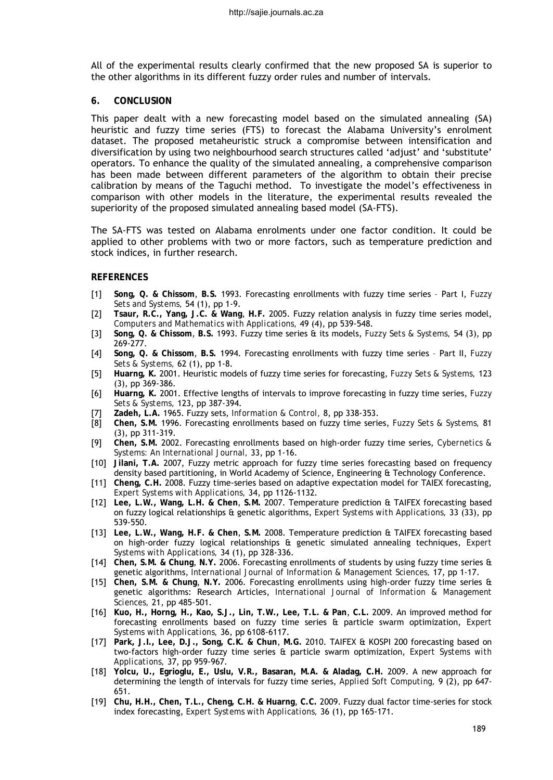All of the experimental results clearly confirmed that the new proposed SA is superior to the other algorithms in its different fuzzy order rules and number of intervals.

### **6. CONCLUSION**

This paper dealt with a new forecasting model based on the simulated annealing (SA) heuristic and fuzzy time series (FTS) to forecast the Alabama University's enrolment dataset. The proposed metaheuristic struck a compromise between intensification and diversification by using two neighbourhood search structures called 'adjust' and 'substitute' operators. To enhance the quality of the simulated annealing, a comprehensive comparison has been made between different parameters of the algorithm to obtain their precise calibration by means of the Taguchi method. To investigate the model's effectiveness in comparison with other models in the literature, the experimental results revealed the superiority of the proposed simulated annealing based model (SA-FTS).

The SA-FTS was tested on Alabama enrolments under one factor condition. It could be applied to other problems with two or more factors, such as temperature prediction and stock indices, in further research.

### **REFERENCES**

- [1] **Song, Q. & Chissom**, **B.S.** 1993. Forecasting enrollments with fuzzy time series Part I, *Fuzzy Sets and Systems,* 54 (1), pp 1-9.
- [2] **Tsaur, R.C., Yang, J.C. & Wang**, **H.F.** 2005. Fuzzy relation analysis in fuzzy time series model, *Computers and Mathematics with Applications,* 49 (4), pp 539-548.
- [3] **Song, Q. & Chissom**, **B.S.** 1993. Fuzzy time series & its models, *Fuzzy Sets & Systems,* 54 (3), pp 269-277.
- [4] **Song, Q. & Chissom**, **B.S.** 1994. Forecasting enrollments with fuzzy time series Part II, *Fuzzy Sets & Systems,* 62 (1), pp 1-8.
- [5] **Huarng, K.** 2001. Heuristic models of fuzzy time series for forecasting, *Fuzzy Sets & Systems,* 123 (3), pp 369-386.
- [6] **Huarng, K.** 2001. Effective lengths of intervals to improve forecasting in fuzzy time series, *Fuzzy Sets & Systems,* 123, pp 387-394.
- [7] **Zadeh, L.A.** 1965. Fuzzy sets, *Information & Control,* 8, pp 338-353.
- [8] **Chen, S.M.** 1996. Forecasting enrollments based on fuzzy time series, *Fuzzy Sets & Systems,* 81 (3), pp 311-319.
- [9] **Chen, S.M.** 2002. Forecasting enrollments based on high-order fuzzy time series, *Cybernetics & Systems: An International Journal,* 33, pp 1-16.
- [10] **Jilani, T.A.** 2007, Fuzzy metric approach for fuzzy time series forecasting based on frequency density based partitioning, in World Academy of Science, Engineering & Technology Conference.
- [11] **Cheng, C.H.** 2008. Fuzzy time-series based on adaptive expectation model for TAIEX forecasting, *Expert Systems with Applications,* 34, pp 1126-1132.
- [12] **Lee, L.W., Wang, L.H. & Chen**, **S.M.** 2007. Temperature prediction & TAIFEX forecasting based on fuzzy logical relationships & genetic algorithms, *Expert Systems with Applications,* 33 (33), pp 539-550.
- [13] **Lee, L.W., Wang, H.F. & Chen**, **S.M.** 2008. Temperature prediction & TAIFEX forecasting based on high-order fuzzy logical relationships & genetic simulated annealing techniques, *Expert Systems with Applications,* 34 (1), pp 328-336.
- [14] **Chen, S.M. & Chung**, **N.Y.** 2006. Forecasting enrollments of students by using fuzzy time series & genetic algorithms, *International Journal of Information & Management Sciences,* 17, pp 1-17.
- [15] **Chen, S.M. & Chung**, **N.Y.** 2006. Forecasting enrollments using high-order fuzzy time series & genetic algorithms: Research Articles, *International Journal of Information & Management Sciences,* 21, pp 485-501.
- [16] **Kuo, H., Horng, H., Kao, S.J., Lin, T.W., Lee, T.L. & Pan**, **C.L.** 2009. An improved method for forecasting enrollments based on fuzzy time series & particle swarm optimization, *Expert Systems with Applications,* 36, pp 6108-6117.
- [17] **Park, J.I., Lee, D.J., Song, C.K. & Chun**, **M.G.** 2010. TAIFEX & KOSPI 200 forecasting based on two-factors high-order fuzzy time series & particle swarm optimization, *Expert Systems with Applications,* 37, pp 959-967.
- [18] **Yolcu, U., Egrioglu, E., Uslu, V.R., Basaran, M.A. & Aladag, C.H.** 2009. A new approach for determining the length of intervals for fuzzy time series, *Applied Soft Computing,* 9 (2), pp 647- 651.
- [19] **Chu, H.H., Chen, T.L., Cheng, C.H. & Huarng**, **C.C.** 2009. Fuzzy dual factor time-series for stock index forecasting, *Expert Systems with Applications,* 36 (1), pp 165-171.